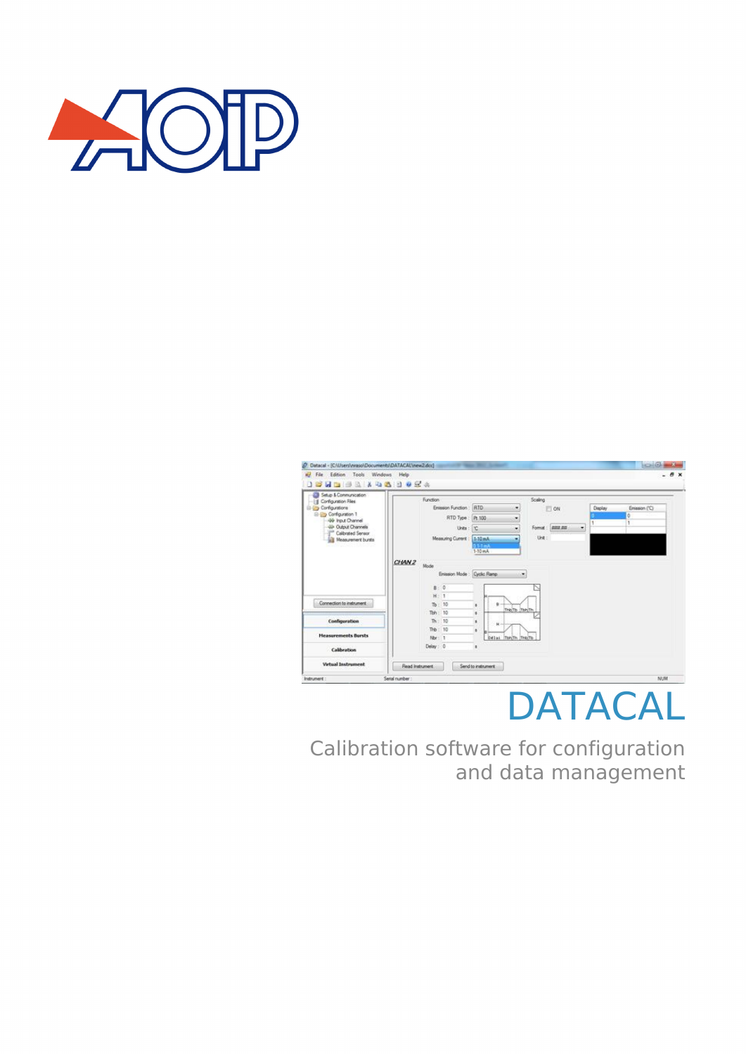



# DATACAL

Calibration software for configuration and data management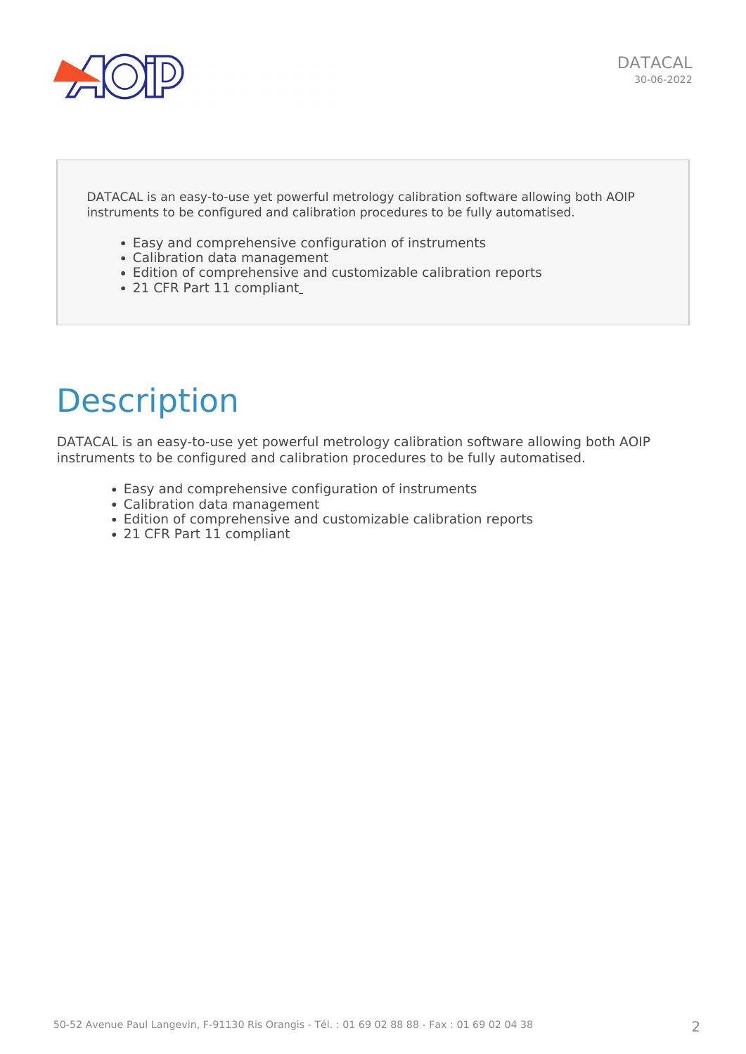

DATACAL is an easy-to-use yet powerful metrology calibration software allowing both AOIP instruments to be configured and calibration procedures to be fully automatised.

- Easy and comprehensive configuration of instruments
- Calibration data management
- Edition of comprehensive and customizable calibration reports
- 21 CFR Part 11 compliant

## **Description**

DATACAL is an easy-to-use yet powerful metrology calibration software allowing both AOIP instruments to be configured and calibration procedures to be fully automatised.

- Easy and comprehensive configuration of instruments
- Calibration data management
- Edition of comprehensive and customizable calibration reports
- 21 CFR Part 11 compliant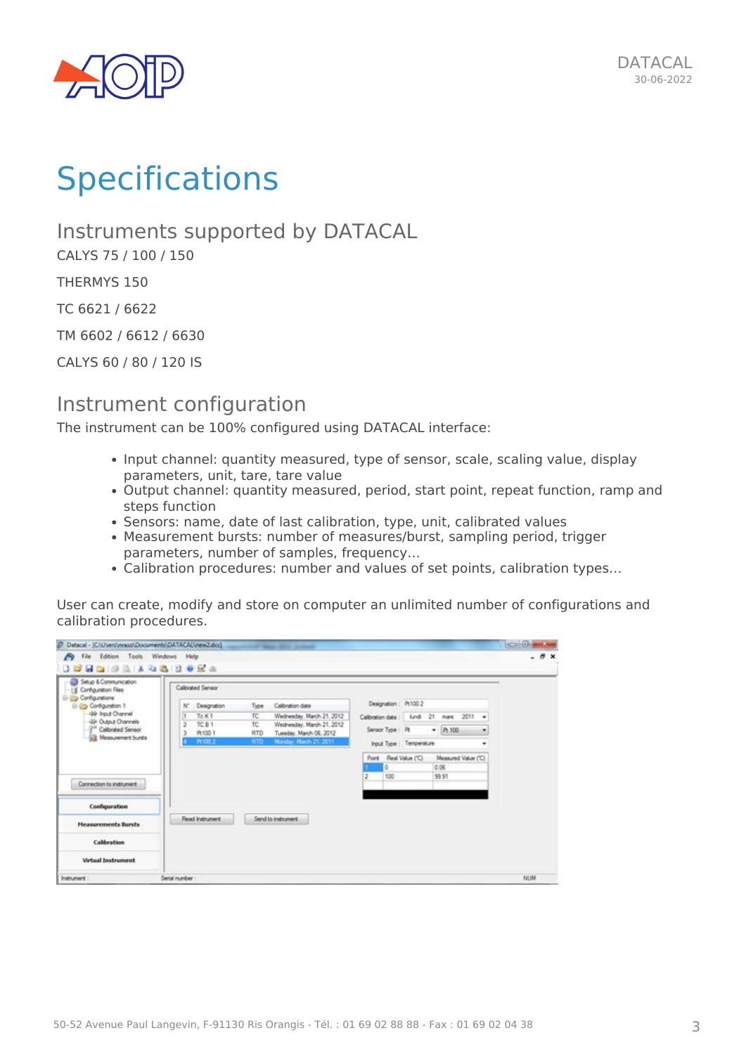

# **Specifications**

Instruments supported by DATACAL

CALYS 75 / 100 / 150

THERMYS 150

TC 6621 / 6622

TM 6602 / 6612 / 6630

CALYS 60 / 80 / 120 IS

#### Instrument configuration

The instrument can be 100% configured using DATACAL interface:

- Input channel: quantity measured, type of sensor, scale, scaling value, display parameters, unit, tare, tare value
- Output channel: quantity measured, period, start point, repeat function, ramp and steps function
- Sensors: name, date of last calibration, type, unit, calibrated values
- Measurement bursts: number of measures/burst, sampling period, trigger parameters, number of samples, frequency…
- Calibration procedures: number and values of set points, calibration types…

User can create, modify and store on computer an unlimited number of configurations and calibration procedures.

| P Datacal - (CNUsers/inrasol/Documents/DATACAL\new2.dcc)         |                                    | of the state street                                  |                         |                     | <b>CONTRACTOR</b> |
|------------------------------------------------------------------|------------------------------------|------------------------------------------------------|-------------------------|---------------------|-------------------|
| S File Edition Tools Windows Help<br><b>JEHD 8 A 4 8 8 9 2 4</b> |                                    |                                                      |                         |                     | $-7x$             |
| Setup & Communication<br>If Configuration Files                  | Calibrated Servaor                 |                                                      |                         |                     |                   |
| <b>E-Up Configurations</b><br>B-Configuration 1                  | Type:<br>Designation<br>ĸ          | <b>Calibration date</b>                              | Designation: P:100.2    |                     |                   |
| 49 Input Channel<br>49 Output Channels                           | Te K1<br>TC.                       | Wednesday, March 21, 2012                            | Calibration date :      | lund 21 mars 2011 w |                   |
| Calbrated Sensor                                                 | TCB1<br>TC.<br>ž<br>RTD<br>Pt100 T | Wednesday, March 21, 2012<br>Tuesday, March 06, 2012 | Sensor Type : R         | $ P100$<br>۰        |                   |
| <b>Measurement bunts</b>                                         | P1100-2<br><b>RTD</b>              | Monday, March 21, 2011                               | Input Type: Temperature | ٠                   |                   |
|                                                                  |                                    |                                                      | Point Real Value ("C)   | Measured Value ("C) |                   |
|                                                                  |                                    |                                                      |                         | 0.06                |                   |
| Connection to instrument                                         |                                    |                                                      | 100<br>$\overline{z}$   | 99.91               |                   |
| Configuration                                                    |                                    |                                                      |                         |                     |                   |
| <b>Heasurements Bursts</b>                                       | <b>Read instrument</b>             | Send to instrument                                   |                         |                     |                   |
| Calibration                                                      |                                    |                                                      |                         |                     |                   |
| Virtual Instrument                                               |                                    |                                                      |                         |                     |                   |
| <b>Instrument</b>                                                | Serial number                      |                                                      |                         |                     | NUM               |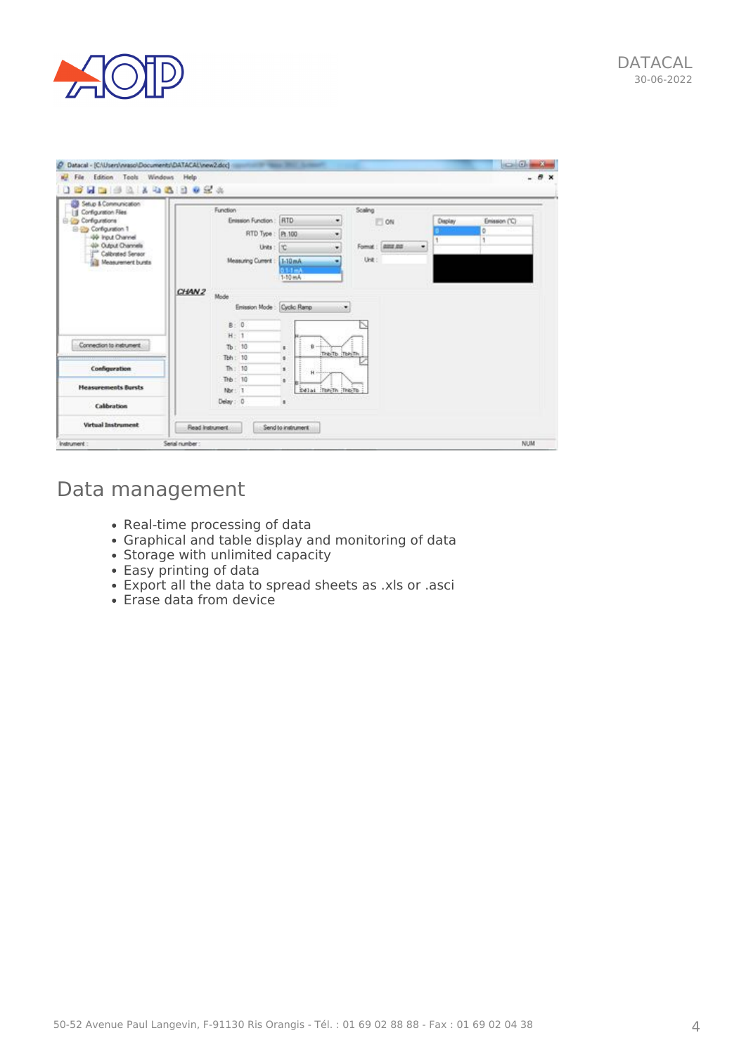

| <br>Setup & Communication                   |                   |                                |                         |          |               |         |               |
|---------------------------------------------|-------------------|--------------------------------|-------------------------|----------|---------------|---------|---------------|
| Configuration Files<br>11<br>Corfigurations |                   | Function<br>Enission Function: | RTD<br>٠                | Scaling  | $\Box$ ON     | Display | Emission ('C) |
| E-Rig Configuration 1                       |                   | RTD Type                       | Pt.100<br>٠             |          |               |         |               |
| 49 hput Channel<br>49 Output Channels       |                   | Units:                         | :110<br>۰               | Format : | 0332,000<br>۰ |         |               |
| Calbrated Sensor                            |                   | <b>Measuing Current</b>        | 1-10 mA<br>۰            | Unit:    |               |         |               |
| Measurement bursts                          |                   |                                | 011mA                   |          |               |         |               |
|                                             |                   |                                | 1-10 mA                 |          |               |         |               |
|                                             | CHAN <sub>2</sub> | Mode                           |                         |          |               |         |               |
|                                             |                   | Enission Mode : Cyclic Ramp    | <b>ALCOHOL:</b>         |          |               |         |               |
|                                             |                   | B:0                            |                         |          |               |         |               |
|                                             |                   | $H = 1$                        |                         |          |               |         |               |
| Connection to instrument                    |                   | $Tb$ : 10                      | ū.<br>×<br>THE TE TERTH |          |               |         |               |
|                                             |                   | Tbh: 10                        | ٠                       |          |               |         |               |
| Configuration                               |                   | Th: 10<br>The: 10              | ٠<br>н<br>٠             |          |               |         |               |
| <b>Heasurements Bursts</b>                  |                   | Nor. 1                         | Edial (Ton-Th (This)To  |          |               |         |               |
| Calibration                                 |                   | Deby: 0                        | ٠                       |          |               |         |               |
|                                             |                   |                                |                         |          |               |         |               |

### Data management

- Real-time processing of data
- Graphical and table display and monitoring of data
- [Storage with unlimited capacity](https://www.aoip.fr/wp-content/uploads/2014/01/DATACAL_Instrument-configuration_2.jpg)
- Easy printing of data
- Export all the data to spread sheets as .xls or .asci
- Erase data from device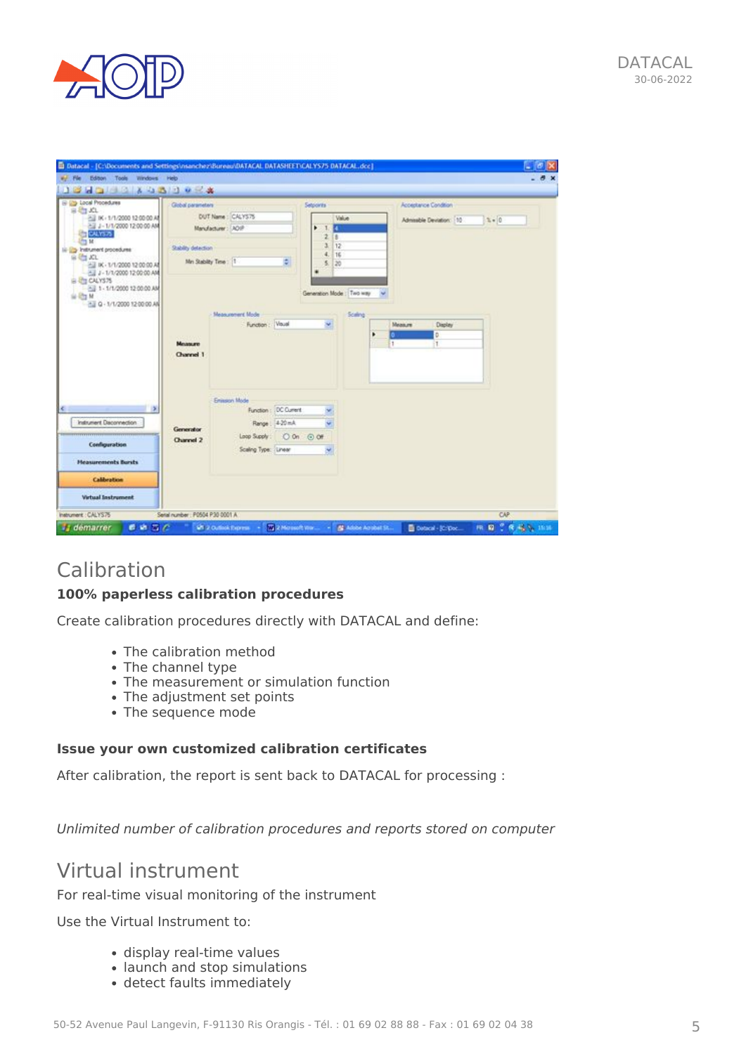

| Ei Libral Procedures<br>Global parameters                             |                                         | Setpoints          |                           | Acceptance Condition     |         |
|-----------------------------------------------------------------------|-----------------------------------------|--------------------|---------------------------|--------------------------|---------|
| 2 K - 1/1/2000 12:00:00 A<br>2 J - 1/1/2000 12:00:00 AM               | DUT Name: CALYS75<br>Manufacturer: ADIP | H.                 | Value                     | Admissible Deviation: 10 | $2 - 0$ |
| Stability detection<br>To Instrument procedures                       |                                         | z<br>ä.            | B<br>12                   |                          |         |
| 2 K - 1/1/2000 12:00:00 A<br>2 J - 1/1/2000 12:00:00 AM               | Mn Stability Time: 1                    | 4.<br>÷<br>S.<br>۰ | 16<br>20                  |                          |         |
| All 1 - 1/1/2000 12:00:00 AM<br>21 Q - 1/1/2000 12:00:00 AM           |                                         |                    | Generation Mode : Two way |                          |         |
|                                                                       | Measurement Mode<br>Function : Visual   | w                  | Science                   | Молиции<br>Display       |         |
| Moussure                                                              |                                         |                    | ٠                         | b<br>$\mathbf{1}$<br>81. |         |
| Channel 1                                                             |                                         |                    |                           |                          |         |
|                                                                       | Enjascy Mode                            |                    |                           |                          |         |
| $\,$                                                                  | Function: DC Current                    |                    |                           |                          |         |
| Instrument Disconnection:<br>Generator                                | Range   4-20 mA                         |                    |                           |                          |         |
| ,,,,,,,,,,,,,,,,,,,,,,,,,,,,,,,,<br><b>Channel 2</b><br>Configuration | Loop Supply:                            | O On @ Off         |                           |                          |         |
| <b>Heaturements Bursts</b>                                            | Scaling Type: Linear                    |                    |                           |                          |         |
| Calibration                                                           |                                         |                    |                           |                          |         |
|                                                                       |                                         |                    |                           |                          |         |

### Calibration

#### **100% paperless calibration procedures**

Create calibration procedures directly with DATACAL and define:

- The calibration method
- The channel type
- The measurement or simulation function
- The adjustment set points
- The sequence mode

#### **Issue your own customized calibration certificates**

After calibration, the report is sent back to DATACAL for processing :

*Unlimited number of calibration procedures and reports stored on computer*

#### Virtual instrument

For real-time visual monitoring of the instrument

Use the Virtual Instrument to:

- display real-time values
- launch and stop simulations
- detect faults immediately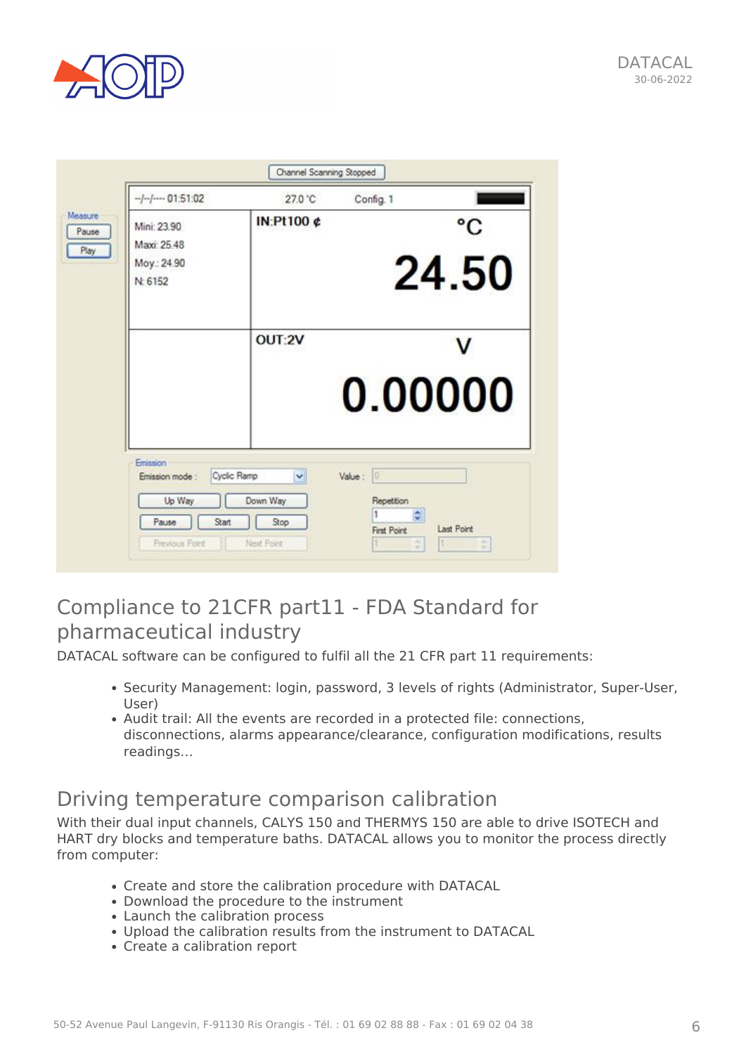

|                        | 27.0 °C    | Config. 1 |                 |
|------------------------|------------|-----------|-----------------|
| Mini: 23.90            | IN:Pt100 ¢ |           | $\rm ^{\circ}C$ |
| Maxi: 25.48            |            |           |                 |
| Moy.: 24.90<br>N: 6152 |            |           | 24.50           |
|                        | OUT:2V     |           |                 |
|                        |            | 0.00000   |                 |

#### Compliance to 21CFR part11 - FDA Standard for pharmaceutical industry

DATACAL software can be configured to fulfil all the 21 CFR part 11 requirements:

- Security Management: login, password, 3 levels of rights (Administrator, Super-User, User)
- Audit trail: All the events are recorded in a protected file: connections, disconnections, alarms appearance/clearance, configuration modifications, results readings…

#### Driving temperature comparison calibration

With their dual input channels, CALYS 150 and THERMYS 150 are able to drive ISOTECH and HART dry blocks and temperature baths. DATACAL allows you to monitor the process directly from computer:

- Create and store the calibration procedure with DATACAL
- Download the procedure to the instrument
- Launch the calibration process
- Upload the calibration results from the instrument to DATACAL
- Create a calibration report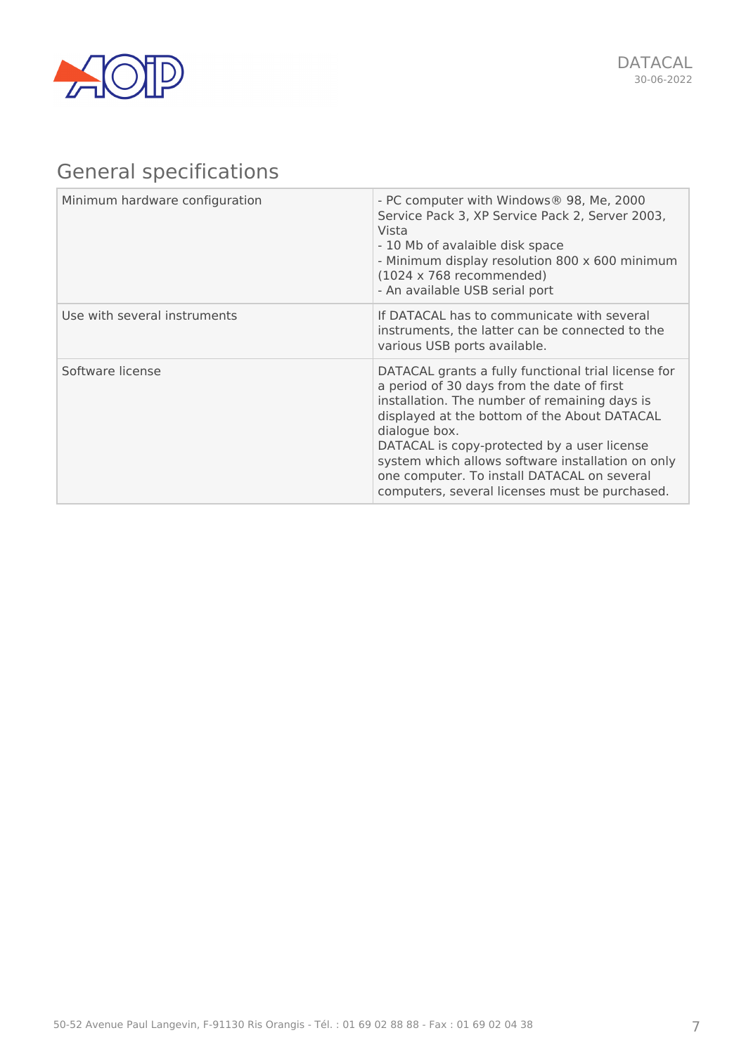

## General specifications

| Minimum hardware configuration | - PC computer with Windows® 98, Me, 2000<br>Service Pack 3, XP Service Pack 2, Server 2003,<br>Vista<br>- 10 Mb of avalaible disk space<br>- Minimum display resolution 800 x 600 minimum<br>$(1024 \times 768$ recommended)<br>- An available USB serial port                                                                                                                                                           |
|--------------------------------|--------------------------------------------------------------------------------------------------------------------------------------------------------------------------------------------------------------------------------------------------------------------------------------------------------------------------------------------------------------------------------------------------------------------------|
| Use with several instruments   | If DATACAL has to communicate with several<br>instruments, the latter can be connected to the<br>various USB ports available.                                                                                                                                                                                                                                                                                            |
| Software license               | DATACAL grants a fully functional trial license for<br>a period of 30 days from the date of first<br>installation. The number of remaining days is<br>displayed at the bottom of the About DATACAL<br>dialogue box.<br>DATACAL is copy-protected by a user license<br>system which allows software installation on only<br>one computer. To install DATACAL on several<br>computers, several licenses must be purchased. |